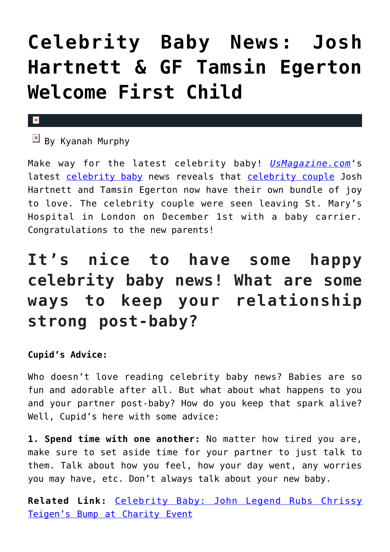## **[Celebrity Baby News: Josh](https://cupidspulse.com/102105/celebrity-baby-news-josh-hartnett-gf-tamsin-egerton-welcome-first-child/) [Hartnett & GF Tamsin Egerton](https://cupidspulse.com/102105/celebrity-baby-news-josh-hartnett-gf-tamsin-egerton-welcome-first-child/) [Welcome First Child](https://cupidspulse.com/102105/celebrity-baby-news-josh-hartnett-gf-tamsin-egerton-welcome-first-child/)**

## $\mathbf{x}$

 $\boxed{\times}$  By Kyanah Murphy

Make way for the latest celebrity baby! *[UsMagazine.com](http://www.usmagazine.com/celebrity-moms/news/josh-hartnett-tamsin-egerton-welcome-first-child-w158761)*'s latest [celebrity baby](http://cupidspulse.com/celebrity-relationships/celebrity-babies/) news reveals that [celebrity couple](http://cupidspulse.com/celebrity-relationships/long-term-relationships-flings/) Josh Hartnett and Tamsin Egerton now have their own bundle of joy to love. The celebrity couple were seen leaving St. Mary's Hospital in London on December 1st with a baby carrier. Congratulations to the new parents!

## **It's nice to have some happy celebrity baby news! What are some ways to keep your relationship strong post-baby?**

## **Cupid's Advice:**

Who doesn't love reading celebrity baby news? Babies are so fun and adorable after all. But what about what happens to you and your partner post-baby? How do you keep that spark alive? Well, Cupid's here with some advice:

**1. Spend time with one another:** No matter how tired you are, make sure to set aside time for your partner to just talk to them. Talk about how you feel, how your day went, any worries you may have, etc. Don't always talk about your new baby.

**Related Link:** [Celebrity Baby: John Legend Rubs Chrissy](http://cupidspulse.com/101763/celebrity-baby-john-legend-rubs-chrissy-teigens-bump-charity-event/#pJMWtofZ5sTdyloM.99) [Teigen's Bump at Charity Event](http://cupidspulse.com/101763/celebrity-baby-john-legend-rubs-chrissy-teigens-bump-charity-event/#pJMWtofZ5sTdyloM.99)